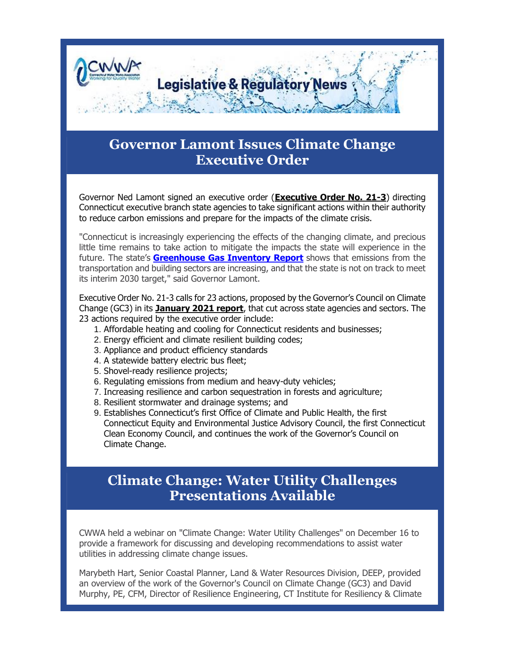

## **Governor Lamont Issues Climate Change Executive Order**

Governor Ned Lamont signed an executive order (**[Executive Order No. 21-3](https://r20.rs6.net/tn.jsp?f=001vWfY8EteKT5K1n65Ayec0pTHkIbS8po2r5AVObLSQEB_b0CLSuKEyhPLnyt6-5NWSGVIlLNTEFVH1ObD0BBZVbF3Uu5Z5oSIY--LU27SxH2EnlG84QxMxmYKfU6BvVYWisHgzV_5qQsmYO0GCI1kuBV87VXrikmxZSfVBJdCj9LFKnC5cC1KW_aar0oyAo3MY6a_QjaGLPKPmAB3D9rUXMqeL8arL0CX03Chvmznm8vb6CBLOHWz-NWjRhd7Bh00gu-cvAkN_dj58jtpBRkHS6bejGtHWnWUVbbEc7hHOVo8c24TZQ-mBvBfjza9UJoimpN3s0yRsbQhjWTR-2ZgD6jwqCT4rP-mHI9JYge55dex0otgbraSV7tnWkAWBI28AagVno74G6YkX8Ie6dGbtg-dXLzinKwe_YdvMEQp7JRybrethp5aXu-Ia_ISMDYylE1CZlNaUEsH5YkwTgjRCe7eK-4y5EAueX-misF5ehn_LWJkVQdKNrtM-JRiIao00fTYIv8nGgY3kI9YkQ1LpLpietqUpFlwgYm3Kbrwi7JWFVocVpv2Rf7ogXUEb4oiwLGp5O0oVQ_H0CNzA9jlaw-0pbEdp0IXWFW2ykEGIalDsBqDx7xHnrzLqsgBy1IcYUpwxBTJp1KWk6dIfKhLOoCNLRP7BUup_Z5pUcYCH1imdVF8gvh_HqY4kfb6r-c2-AliZOxiIycOLIO4jm34EvUW6DCelcSL&c=UfDXAYtCFy3ZOAKA3Y8JdyG-AlKTyI1Fh_qnnMp5sTtEEZBz7Kf6Xg==&ch=qsTaYsHqYLdq0S8A9J69EIdYk4C36iEiGtZg8JfLQfZYKvCjgiEMUA==)**) directing Connecticut executive branch state agencies to take significant actions within their authority to reduce carbon emissions and prepare for the impacts of the climate crisis.

"Connecticut is increasingly experiencing the effects of the changing climate, and precious little time remains to take action to mitigate the impacts the state will experience in the future. The state's **[Greenhouse Gas Inventory Report](https://r20.rs6.net/tn.jsp?f=001vWfY8EteKT5K1n65Ayec0pTHkIbS8po2r5AVObLSQEB_b0CLSuKEyhPLnyt6-5NWSyrk6hTnxXOEXCpa4eyqyEC-t9lze8PtHODuw_Z-Lf2r44X_cMA9xBWjQOm4tBmbLMTp2ZzyMQZg1CZL8fp1pQTwulYu75aZ9PfryXeJNSU_AGtrtLcycfNkaLO6N_7LO9TMOxjf9yBITEAyk4D6kQaesqjpHhasu7DpGamtXBwLLcGu05OALvsGJ96o7i9eh7nI2cgDJtD-YQ-pLMSkN5TcXXvD1IM616iTsbA-fyZhya17L21HejlDueRNnf6SK9n31aZ6H2AU1aFQe_LCLRX420JTid8eLZhacnFloQDFSfx0EjD5Nhuy-IQqCR3hC0vK_9gRP4OXCgsRszNvNnb7md3PD2JlJP-AzrwX_MllVzWn1CxYjrStkJ9_aYt3CPNWQs-ytsc-mQhsL_F-kQhPkVHFO4zwH1zppbzk2pta8GzrdwjOlJ4_h_VWRwOTpNb5wIVp6oOHJWZ02M5LDIvXTXnSUD76oXJ6wvOZ3qL4D9CJLuhvpo5LCKqpSWEpOyyWHqvbqB9N8BNpapgHrzDCI5pUshCRCkivf_JWnMA0LtDRIJC7C_8wM0vwQ3sXripe-r86psEee3oo3Z9ZhKu-V9TXBxl9nnopeuscsqGsGg9fjXVslLp9s4xHIDNVeyGh7fqIi61pg_NWpcyQ7pFDGdo7SGDt&c=UfDXAYtCFy3ZOAKA3Y8JdyG-AlKTyI1Fh_qnnMp5sTtEEZBz7Kf6Xg==&ch=qsTaYsHqYLdq0S8A9J69EIdYk4C36iEiGtZg8JfLQfZYKvCjgiEMUA==)** shows that emissions from the transportation and building sectors are increasing, and that the state is not on track to meet its interim 2030 target," said Governor Lamont.

Executive Order No. 21-3 calls for 23 actions, proposed by the Governor's Council on Climate Change (GC3) in its **[January 2021 report](https://r20.rs6.net/tn.jsp?f=001vWfY8EteKT5K1n65Ayec0pTHkIbS8po2r5AVObLSQEB_b0CLSuKEyhPLnyt6-5NWtZ7RviojiM07a9wh5pot5FcQKDSfnC7eAE3rwb8A0WsRTOJfm2Q9EiIy-vR2YLfYZizHJ5bHBwED4Q9yfv3FJjhUwYGBYaB7AVsV6TmxaCcmm2r7PhTdqi9JSIb2siP0zOn3bZuBStZEdJyOLf-mcxsl9fqHG3VO0oHsvD2T0xzkleWNfNDSb1r0KnAr0dBIe2oqYjZLO78A-csGw_NfxC4XeHsOF2YnbJlYIQqDMMAiFdwwWabVaA1GxOxXQG_M1Ztmi7y9woNgydt9TG2oxkd8F2pWrm38EVMj2x7APtvH8m50j_dqfeyRfanp4gPh9WhBZ1PoquRot3HDly3T9vjndAzByYVvxg0TSOgCWYerYBlEQvKzoLyzg0sRjK8qOLQa5S2-eUYG4R5KRIZukmi0LfaZ2EGO2IPESD3fgXJ71p9HyOponx0It8_RktmzaOJRIZajbOR7KvStSd_GD1UYklyXoyfNA7uIinBdpqKYmRjgKgjOhSBBFZXE8OOUO4JKkLfQBtcOZ7Dacth_a4_6vGuLZHAdga2gNAaFQK93kUsJdwSZa2usNZUtxb-mG_VknRZvj26ils0zna0xoc5y-ggsomvwSvQK65wrdbVx0zRSowrjYOLaiCMIkR5UiD496AvjyGi6pTIj6cT_E32-9SwlJcef&c=UfDXAYtCFy3ZOAKA3Y8JdyG-AlKTyI1Fh_qnnMp5sTtEEZBz7Kf6Xg==&ch=qsTaYsHqYLdq0S8A9J69EIdYk4C36iEiGtZg8JfLQfZYKvCjgiEMUA==)**, that cut across state agencies and sectors. The 23 actions required by the executive order include:

- 1. Affordable heating and cooling for Connecticut residents and businesses;
- 2. Energy efficient and climate resilient building codes;
- 3. Appliance and product efficiency standards
- 4. A statewide battery electric bus fleet;
- 5. Shovel-ready resilience projects;
- 6. Regulating emissions from medium and heavy-duty vehicles;
- 7. Increasing resilience and carbon sequestration in forests and agriculture;
- 8. Resilient stormwater and drainage systems; and
- 9. Establishes Connecticut's first Office of Climate and Public Health, the first Connecticut Equity and Environmental Justice Advisory Council, the first Connecticut Clean Economy Council, and continues the work of the Governor's Council on Climate Change.

## **Climate Change: Water Utility Challenges Presentations Available**

CWWA held a webinar on "Climate Change: Water Utility Challenges" on December 16 to provide a framework for discussing and developing recommendations to assist water utilities in addressing climate change issues.

Marybeth Hart, Senior Coastal Planner, Land & Water Resources Division, DEEP, provided an overview of the work of the Governor's Council on Climate Change (GC3) and David Murphy, PE, CFM, Director of Resilience Engineering, CT Institute for Resiliency & Climate